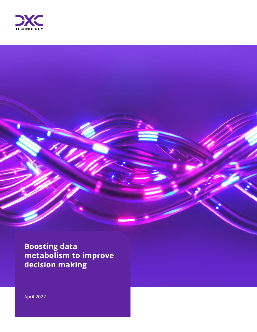

**Boosting data metabolism to improve decision making**

April 2022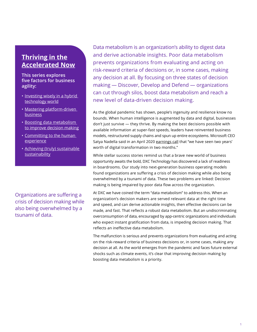### **[Thriving in the](https://dxc.com/us/en/insights/perspectives/sp/accelerated-now/thriving-in-the-accelerated-now) [Accelerated Now](https://dxc.com/us/en/insights/perspectives/sp/accelerated-now/thriving-in-the-accelerated-now)**

### **This series explores five factors for business agility:**

- Investing wisely in a hybrid [technology world](https://dxc.com/us/en/insights/perspectives/sp/accelerated-now/investing-wisely-in-a-hybrid-technology-world)
- [Mastering platform-driven](https://dxc.com/us/en/insights/perspectives/sp/accelerated-now/mastering-platform-driven-business)  **[business](https://dxc.com/us/en/insights/perspectives/sp/accelerated-now/mastering-platform-driven-business)**
- [Boosting data metabolism](https://dxc.com/us/en/insights/perspectives/sp/accelerated-now/boosting-data-metabolism-to-improve-decision-making)  [to improve decision making](https://dxc.com/us/en/insights/perspectives/sp/accelerated-now/boosting-data-metabolism-to-improve-decision-making)
- [Committing to the human](https://dxc.com/us/en/insights/perspectives/sp/accelerated-now/committing-to-the-human-experience)  [experience](https://dxc.com/us/en/insights/perspectives/sp/accelerated-now/committing-to-the-human-experience)
- [Achieving \(truly\) sustainable](https://dxc.com/us/en/insights/perspectives/sp/accelerated-now/achieving-truly-sustainable-sustainability)  [sustainability](https://dxc.com/us/en/insights/perspectives/sp/accelerated-now/achieving-truly-sustainable-sustainability)

Organizations are suffering a crisis of decision making while also being overwhelmed by a tsunami of data.

Data metabolism is an organization's ability to digest data and derive actionable insights. Poor data metabolism prevents organizations from evaluating and acting on risk-reward criteria of decisions or, in some cases, making any decision at all. By focusing on three states of decision making — Discover, Develop and Defend — organizations can cut through silos, boost data metabolism and reach a new level of data-driven decision making.

As the global pandemic has shown, people's ingenuity and resilience know no bounds. When human intelligence is augmented by data and digital, businesses don't just survive — they thrive. By making the best decisions possible with available information at super-fast speeds, leaders have reinvented business models, restructured supply chains and spun up entire ecosystems. Microsoft CEO Satya Nadella said in an April 2020 [earnings call](https://view.officeapps.live.com/op/view.aspx?src=https://c.s-microsoft.com/en-us/CMSFiles/TranscriptFY20Q3.docx?version=f0427a57-33bf-57a5-7029-6a8904c0c123) that "we have seen two years' worth of digital transformation in two months."

While stellar success stories remind us that a brave new world of business opportunity awaits the bold, DXC Technology has discovered a lack of readiness in boardrooms. Our study into next-generation business operating models found organizations are suffering a crisis of decision making while also being overwhelmed by a tsunami of data. These two problems are linked: Decision making is being impaired by poor data flow across the organization.

At DXC we have coined the term "data metabolism" to address this. When an organization's decision makers are served relevant data at the right time and speed, and can derive actionable insights, then effective decisions can be made, and fast. That reflects a robust data metabolism. But an undiscriminating overconsumption of data, encouraged by app-centric organizations and individuals who expect instant gratification from data, is impeding decision making. That reflects an ineffective data metabolism.

The malfunction is serious and prevents organizations from evaluating and acting on the risk-reward criteria of business decisions or, in some cases, making any decision at all. As the world emerges from the pandemic and faces future external shocks such as climate events, it's clear that improving decision making by boosting data metabolism is a priority.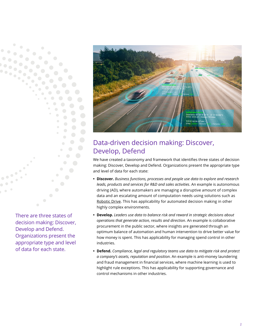

# Data-driven decision making: Discover, Develop, Defend

We have created a taxonomy and framework that identifies three states of decision making: Discover, Develop and Defend. Organizations present the appropriate type and level of data for each state:

- **• Discover.** *Business functions, processes and people use data to explore and research leads, products and services for R&D and sales activities*. An example is autonomous driving (AD), where automakers are managing a disruptive amount of complex data and an escalating amount of computation needs using solutions such as [Robotic Drive.](https://dxc.com/us/en/industries/automotive) This has applicability for automated decision making in other highly complex environments.
- **• Develop.** *Leaders use data to balance risk and reward in strategic decisions about operations that generate action, results and direction*. An example is collaborative procurement in the public sector, where insights are generated through an optimum balance of automation and human intervention to drive better value for how money is spent. This has applicability for managing spend control in other industries.
- **• Defend.** *Compliance, legal and regulatory teams use data to mitigate risk and protect a company's assets, reputation and position*. An example is anti-money laundering and fraud management in financial services, where machine learning is used to highlight rule exceptions. This has applicability for supporting governance and control mechanisms in other industries.

There are three states of decision making: Discover, Develop and Defend. Organizations present the appropriate type and level of data for each state.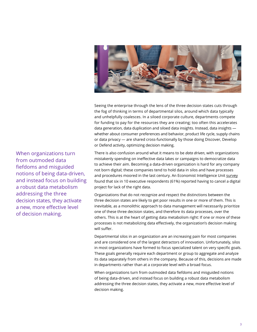

Seeing the enterprise through the lens of the three decision states cuts through the fog of thinking in terms of departmental silos, around which data typically and unhelpfully coalesces. In a siloed corporate culture, departments compete for funding to pay for the resources they are creating; too often this accelerates data generation, data duplication and siloed data insights. Instead, data insights whether about consumer preferences and behavior, product life cycle, supply chains or data privacy — are shared cross-functionally by those doing Discover, Develop or Defend activity, optimizing decision making.

There is also confusion around what it means to be *data driven*, with organizations mistakenly spending on ineffective data lakes or campaigns to democratize data to achieve their aim. Becoming a data-driven organization is hard for any company not born digital; these companies tend to hold data in silos and have processes and procedures moored in the last century. An Economist Intelligence Unit [survey](https://impact.economist.com/perspectives/sites/default/files/itschangingmandate_final.pdf) found that six in 10 executive respondents (61%) reported having to cancel a digital project for lack of the right data.

Organizations that do not recognize and respect the distinctions between the three decision states are likely to get poor results in one or more of them. This is inevitable, as a monolithic approach to data management will necessarily prioritize one of these three decision states, and therefore its data processes, over the others. This is at the heart of getting data metabolism right: If one or more of these processes is not metabolizing data effectively, the organization's decision making will suffer.

Departmental silos in an organization are an increasing pain for most companies and are considered one of the largest detractors of innovation. Unfortunately, silos in most organizations have formed to focus specialized talent on very specific goals. These goals generally require each department or group to aggregate and analyze its data separately from others in the company. Because of this, decisions are made in departments rather than at a corporate level with a broad focus.

When organizations turn from outmoded data fiefdoms and misguided notions of being data-driven, and instead focus on building a robust data metabolism addressing the three decision states, they activate a new, more effective level of decision making.

When organizations turn from outmoded data fiefdoms and misguided notions of being data-driven, and instead focus on building a robust data metabolism addressing the three decision states, they activate a new, more effective level of decision making.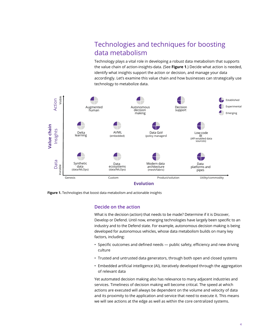# Technologies and techniques for boosting data metabolism

Technology plays a vital role in developing a robust data metabolism that supports the value chain of action-insights-data. (See **Figure 1**.) Decide what action is needed, identify what insights support the action or decision, and manage your data accordingly. Let's examine this value chain and how businesses can strategically use technology to metabolize data.



**Figure 1.** Technologies that boost data metabolism and actionable insights

#### **Decide on the action**

What is the decision (action) that needs to be made? Determine if it is Discover, Develop or Defend. Until now, emerging technologies have largely been specific to an industry and to the Defend state. For example, autonomous decision making is being developed for autonomous vehicles, whose data metabolism builds on many key factors, including:

- Specific outcomes and defined needs public safety, efficiency and new driving culture
- Trusted and untrusted data generators, through both open and closed systems
- Embedded artificial intelligence (AI), iteratively developed through the aggregation of relevant data

Yet automated decision making also has relevance to many adjacent industries and services. Timeliness of decision making will become critical. The speed at which actions are executed will always be dependent on the volume and velocity of data and its proximity to the application and service that need to execute it. This means we will see actions at the edge as well as within the core centralized systems.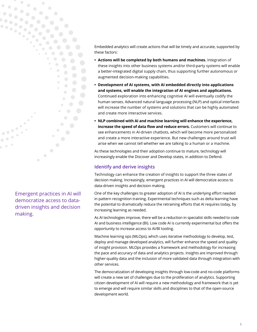

Emergent practices in AI will democratize access to datadriven insights and decision making.

Embedded analytics will create actions that will be timely and accurate, supported by these factors:

- **• Actions will be completed by both humans and machines.** Integration of these insights into other business systems and/or third-party systems will enable a better-integrated digital supply chain, thus supporting further autonomous or augmented decision-making capabilities.
- **• Development of AI systems, with AI embedded directly into applications and systems, will enable the integration of AI engines and applications.** Continued exploration into enhancing cognitive AI will eventually codify the human senses. Advanced natural language processing (NLP) and optical interfaces will increase the number of systems and solutions that can be highly automated and create more interactive services.
- **• NLP combined with AI and machine learning will enhance the experience, increase the speed of data flow and reduce errors.** Customers will continue to see enhancements in AI-driven chatbots, which will become more personalized and create a more interactive experience. But new challenges around trust will arise when we cannot tell whether we are talking to a human or a machine.

As these technologies and their adoption continue to mature, technology will increasingly enable the Discover and Develop states, in addition to Defend.

### **Identify and derive insights**

Technology can enhance the creation of insights to support the three states of decision making. Increasingly, emergent practices in AI will democratize access to data-driven insights and decision making.

One of the key challenges to greater adoption of AI is the underlying effort needed in pattern recognition training. Experimental techniques such as delta learning have the potential to dramatically reduce the retraining efforts that AI requires today, by increasing learning as needed.

As AI technologies improve, there will be a reduction in specialist skills needed to code AI and business intelligence (BI). Low code AI is currently experimental but offers the opportunity to increase access to AI/BI tooling.

Machine learning ops (MLOps), which uses iterative methodology to develop, test, deploy and manage developed analytics, will further enhance the speed and quality of insight provision. MLOps provides a framework and methodology for increasing the pace and accuracy of data and analytics projects. Insights are improved through higher-quality data and the inclusion of more validated data through integration with other services.

The democratization of developing insights through low-code and no-code platforms will create a new set of challenges due to the proliferation of analytics. Supporting citizen development of AI will require a new methodology and framework that is yet to emerge and will require similar skills and disciplines to that of the open-source development world.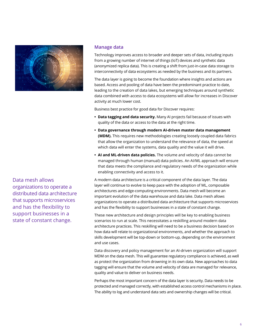

Data mesh allows organizations to operate a distributed data architecture that supports microservices and has the flexibility to support businesses in a state of constant change.

#### **Manage data**

Technology improves access to broader and deeper sets of data, including inputs from a growing number of internet of things (IoT) devices and synthetic data (anonymized replica data). This is creating a shift from just-in-case data storage to interconnectivity of data ecosystems as needed by the business and its partners.

The data layer is going to become the foundation where insights and actions are based. Access and pooling of data have been the predominant practice to date, leading to the creation of data lakes, but emerging techniques around synthetic data combined with access to data ecosystems will allow for increases in Discover activity at much lower cost.

Business best practice for good data for Discover requires:

- **• Data tagging and data security.** Many AI projects fail because of issues with quality of the data or access to the data at the right time.
- **• Data governance through modern AI-driven master data management (MDM).** This requires new methodologies creating loosely coupled data fabrics that allow the organization to understand the relevance of data, the speed at which data will enter the systems, data quality and the value it will drive.
- **• AI and ML-driven data policies.** The volume and velocity of data cannot be managed through human (manual) data policies. An AI/ML approach will ensure that data meets the compliance and regulatory needs of the organization while enabling connectivity and access to it.

A modern data architecture is a critical component of the data layer. The data layer will continue to evolve to keep pace with the adoption of ML, composable architectures and edge-computing environments. Data mesh will become an important evolution of the data warehouse and data lake. Data mesh allows organizations to operate a distributed data architecture that supports microservices and has the flexibility to support businesses in a state of constant change.

These new architecture and design principles will be key to enabling business scenarios to run at scale. This necessitates a reskilling around modern data architecture practices. This reskilling will need to be a business decision based on how data will relate to organizational environments, and whether the approach to skills development will be top-down or bottom-up, depending on the environment and use cases.

Data discovery and policy management for an AI-driven organization will support MDM on the data mesh. This will guarantee regulatory compliance is achieved, as well as protect the organization from drowning in its own data. New approaches to data tagging will ensure that the volume and velocity of data are managed for relevance, quality and value to deliver on business needs.

Perhaps the most important concern of the data layer is security. Data needs to be protected and managed correctly, with established access control mechanisms in place. The ability to log and understand data sets and ownership changes will be critical.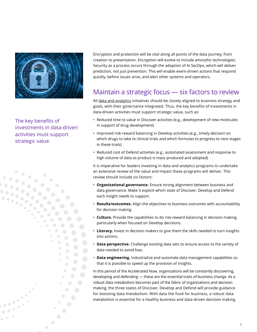

The key benefits of investments in data-driven activities must support strategic value.

 $\bullet$ 

 $\frac{1}{2}$ 

 $\bullet$ 

Encryption and protection will be vital along all points of the data journey, from creation to presentation. Encryption will evolve to include amorphic technologies. Security as a process occurs through the adoption of AI SecOps, which will deliver prediction, not just prevention. This will enable event-driven actions that respond quickly, before issues arise, and alert other systems and operators.

# Maintain a strategic focus — six factors to review

All [data and analytics](https://dxc.com/us/en/services/analytics-and-engineering/data-and-analytics) initiatives should be closely aligned to business strategy and goals, with their governance integrated. Thus, the key benefits of investments in data-driven activities must support strategic value, such as:

- Reduced time to value in Discover activities (e.g., development of new molecules in support of drug development)
- Improved risk-reward balancing in Develop activities (e.g., timely decision on which drugs to take to clinical trials and which formulas to progress to next stages in these trials)
- Reduced cost of Defend activities (e.g., automated assessment and response to high volume of data as product is mass produced and adopted)

It is imperative for leaders investing in data and analytics programs to undertake an extensive review of the value and impact these programs will deliver. This review should include six factors:

- **Organizational governance.** Ensure strong alignment between business and data governance. Make it explicit which state of Discover, Develop and Defend each insight needs to support.
- **Results/outcomes.** Align the objectives to business outcomes with accountability for decision making.
- **Culture.** Provide the capabilities to do risk-reward balancing in decision making, particularly when focused on Develop decisions.
- **Literacy.** Invest in decision makers to give them the skills needed to turn insights into actions.
- **Data perspective.** Challenge existing data sets to ensure access to the variety of data needed to avoid bias.
- **Data engineering.** Industrialize and automate data management capabilities so that it is possible to speed up the provision of insights.

In this period of the Accelerated Now, organizations will be constantly discovering, developing and defending — these are the essential traits of business change. As a robust data metabolism becomes part of the fabric of organizations and decision making, the three states of Discover, Develop and Defend will provide guidance for boosting data metabolism. With data the food for business, a robust data metabolism is essential for a healthy business and data-driven decision making.